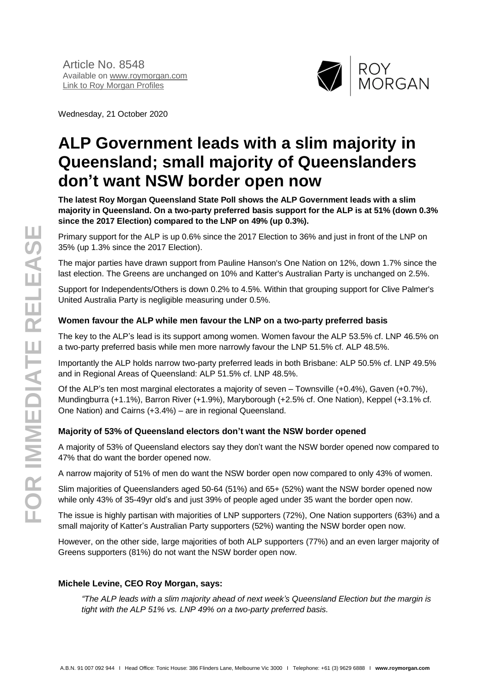

Wednesday, 21 October 2020

# **ALP Government leads with a slim majority in Queensland; small majority of Queenslanders don't want NSW border open now**

**The latest Roy Morgan Queensland State Poll shows the ALP Government leads with a slim majority in Queensland. On a two-party preferred basis support for the ALP is at 51% (down 0.3% since the 2017 Election) compared to the LNP on 49% (up 0.3%).**

Primary support for the ALP is up 0.6% since the 2017 Election to 36% and just in front of the LNP on 35% (up 1.3% since the 2017 Election).

The major parties have drawn support from Pauline Hanson's One Nation on 12%, down 1.7% since the last election. The Greens are unchanged on 10% and Katter's Australian Party is unchanged on 2.5%.

Support for Independents/Others is down 0.2% to 4.5%. Within that grouping support for Clive Palmer's United Australia Party is negligible measuring under 0.5%.

### **Women favour the ALP while men favour the LNP on a two-party preferred basis**

The key to the ALP's lead is its support among women. Women favour the ALP 53.5% cf. LNP 46.5% on a two-party preferred basis while men more narrowly favour the LNP 51.5% cf. ALP 48.5%.

Importantly the ALP holds narrow two-party preferred leads in both Brisbane: ALP 50.5% cf. LNP 49.5% and in Regional Areas of Queensland: ALP 51.5% cf. LNP 48.5%.

Of the ALP's ten most marginal electorates a majority of seven – Townsville (+0.4%), Gaven (+0.7%), Mundingburra (+1.1%), Barron River (+1.9%), Maryborough (+2.5% cf. One Nation), Keppel (+3.1% cf. One Nation) and Cairns (+3.4%) – are in regional Queensland.

#### **Majority of 53% of Queensland electors don't want the NSW border opened**

A majority of 53% of Queensland electors say they don't want the NSW border opened now compared to 47% that do want the border opened now.

A narrow majority of 51% of men do want the NSW border open now compared to only 43% of women.

Slim majorities of Queenslanders aged 50-64 (51%) and 65+ (52%) want the NSW border opened now while only 43% of 35-49yr old's and just 39% of people aged under 35 want the border open now.

The issue is highly partisan with majorities of LNP supporters (72%), One Nation supporters (63%) and a small majority of Katter's Australian Party supporters (52%) wanting the NSW border open now.

However, on the other side, large majorities of both ALP supporters (77%) and an even larger majority of Greens supporters (81%) do not want the NSW border open now.

#### **Michele Levine, CEO Roy Morgan, says:**

*"The ALP leads with a slim majority ahead of next week's Queensland Election but the margin is tight with the ALP 51% vs. LNP 49% on a two-party preferred basis.*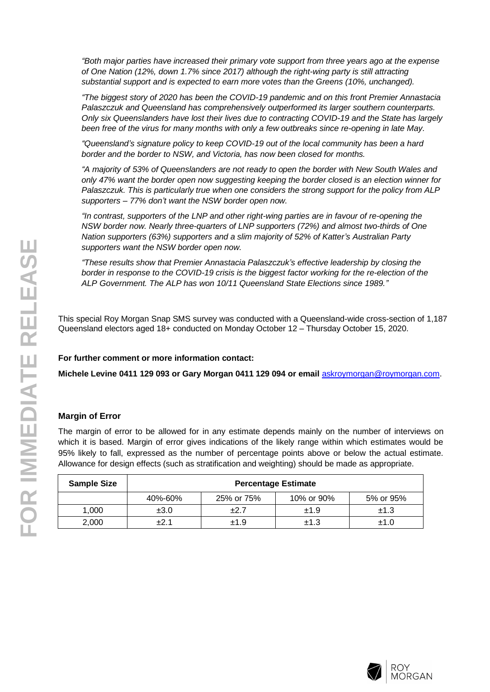*"Both major parties have increased their primary vote support from three years ago at the expense of One Nation (12%, down 1.7% since 2017) although the right-wing party is still attracting substantial support and is expected to earn more votes than the Greens (10%, unchanged).*

*"The biggest story of 2020 has been the COVID-19 pandemic and on this front Premier Annastacia Palaszczuk and Queensland has comprehensively outperformed its larger southern counterparts. Only six Queenslanders have lost their lives due to contracting COVID-19 and the State has largely been free of the virus for many months with only a few outbreaks since re-opening in late May.*

*"Queensland's signature policy to keep COVID-19 out of the local community has been a hard border and the border to NSW, and Victoria, has now been closed for months.*

*"A majority of 53% of Queenslanders are not ready to open the border with New South Wales and only 47% want the border open now suggesting keeping the border closed is an election winner for Palaszczuk. This is particularly true when one considers the strong support for the policy from ALP supporters – 77% don't want the NSW border open now.*

*"In contrast, supporters of the LNP and other right-wing parties are in favour of re-opening the NSW border now. Nearly three-quarters of LNP supporters (72%) and almost two-thirds of One Nation supporters (63%) supporters and a slim majority of 52% of Katter's Australian Party supporters want the NSW border open now.*

*"These results show that Premier Annastacia Palaszczuk's effective leadership by closing the border in response to the COVID-19 crisis is the biggest factor working for the re-election of the ALP Government. The ALP has won 10/11 Queensland State Elections since 1989."*

This special Roy Morgan Snap SMS survey was conducted with a Queensland-wide cross-section of 1,187 Queensland electors aged 18+ conducted on Monday October 12 – Thursday October 15, 2020.

#### **For further comment or more information contact:**

**Michele Levine 0411 129 093 or Gary Morgan 0411 129 094 or email** [askroymorgan@roymorgan.com](mailto:askroymorgan@roymorgan.com).

#### **Margin of Error**

The margin of error to be allowed for in any estimate depends mainly on the number of interviews on which it is based. Margin of error gives indications of the likely range within which estimates would be 95% likely to fall, expressed as the number of percentage points above or below the actual estimate. Allowance for design effects (such as stratification and weighting) should be made as appropriate.

| <b>Sample Size</b> | <b>Percentage Estimate</b> |            |            |           |  |  |  |
|--------------------|----------------------------|------------|------------|-----------|--|--|--|
|                    | 40%-60%                    | 25% or 75% | 10% or 90% | 5% or 95% |  |  |  |
| 1.000              | ±3.0                       | $+2.7$     | ±1.9       | ±1.3      |  |  |  |
| 2,000              | $+21$                      | ±1.9       | ±1.3       | ±1.0      |  |  |  |

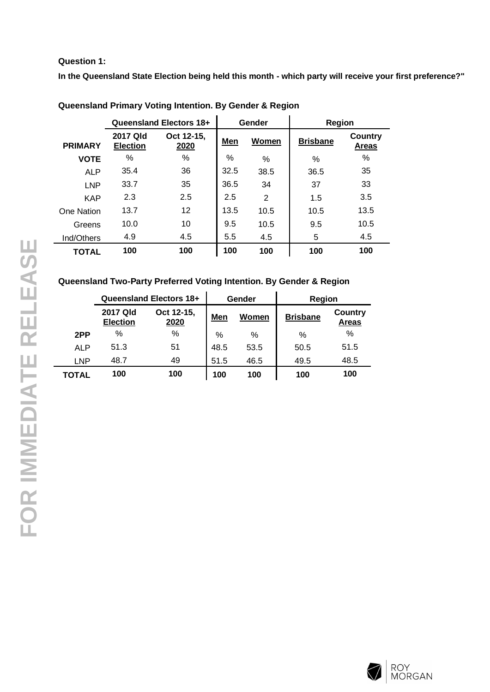#### **Question 1:**

**In the Queensland State Election being held this month - which party will receive your first preference?"**

|                | Queensland Electors 18+     |                    | Gender | Region         |                 |                                |
|----------------|-----------------------------|--------------------|--------|----------------|-----------------|--------------------------------|
| <b>PRIMARY</b> | 2017 Qld<br><b>Election</b> | Oct 12-15,<br>2020 | Men    | Women          | <b>Brisbane</b> | <b>Country</b><br><b>Areas</b> |
| <b>VOTE</b>    | ℅                           | %                  | $\%$   | %              | %               | $\%$                           |
| <b>ALP</b>     | 35.4                        | 36                 | 32.5   | 38.5           | 36.5            | 35                             |
| <b>LNP</b>     | 33.7                        | 35                 | 36.5   | 34             | 37              | 33                             |
| <b>KAP</b>     | 2.3                         | 2.5                | 2.5    | $\overline{2}$ | 1.5             | 3.5                            |
| One Nation     | 13.7                        | 12                 | 13.5   | 10.5           | 10.5            | 13.5                           |
| Greens         | 10.0                        | 10                 | 9.5    | 10.5           | 9.5             | 10.5                           |
| Ind/Others     | 4.9                         | 4.5                | 5.5    | 4.5            | 5               | 4.5                            |
| <b>TOTAL</b>   | 100                         | 100                | 100    | 100            | 100             | 100                            |

**Queensland Primary Voting Intention. By Gender & Region**

#### **Queensland Two-Party Preferred Voting Intention. By Gender & Region**

|            | <b>Queensland Electors 18+</b><br>2017 Qld<br>Oct 12-15,<br><b>Election</b><br>2020 |     |      | Gender | Region          |                         |  |
|------------|-------------------------------------------------------------------------------------|-----|------|--------|-----------------|-------------------------|--|
|            |                                                                                     |     | Men  | Women  | <b>Brisbane</b> | Country<br><b>Areas</b> |  |
| 2PP        | %                                                                                   | %   | $\%$ | %      | %               | %                       |  |
| ALP        | 51.3                                                                                | 51  | 48.5 | 53.5   | 50.5            | 51.5                    |  |
| <b>LNP</b> | 48.7                                                                                | 49  | 51.5 | 46.5   | 49.5            | 48.5                    |  |
| TOTAL      | 100                                                                                 | 100 | 100  | 100    | 100             | 100                     |  |

L